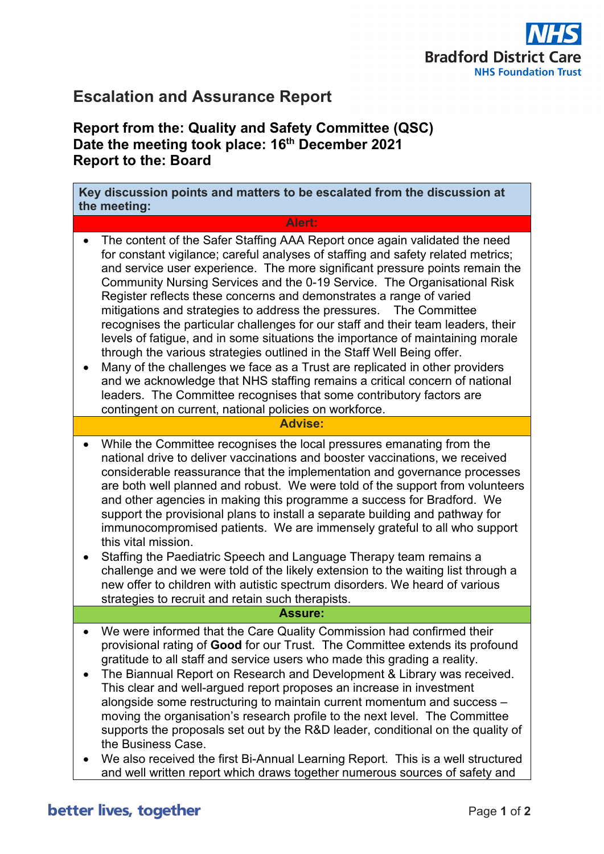

# **Escalation and Assurance Report**

## **Report from the: Quality and Safety Committee (QSC) Date the meeting took place: 16th December 2021 Report to the: Board**

**Key discussion points and matters to be escalated from the discussion at the meeting:**

### **Alert:**

- The content of the Safer Staffing AAA Report once again validated the need for constant vigilance; careful analyses of staffing and safety related metrics; and service user experience. The more significant pressure points remain the Community Nursing Services and the 0-19 Service. The Organisational Risk Register reflects these concerns and demonstrates a range of varied mitigations and strategies to address the pressures. The Committee recognises the particular challenges for our staff and their team leaders, their levels of fatigue, and in some situations the importance of maintaining morale through the various strategies outlined in the Staff Well Being offer.
- Many of the challenges we face as a Trust are replicated in other providers and we acknowledge that NHS staffing remains a critical concern of national leaders. The Committee recognises that some contributory factors are contingent on current, national policies on workforce.

#### **Advise:**

- While the Committee recognises the local pressures emanating from the national drive to deliver vaccinations and booster vaccinations, we received considerable reassurance that the implementation and governance processes are both well planned and robust. We were told of the support from volunteers and other agencies in making this programme a success for Bradford. We support the provisional plans to install a separate building and pathway for immunocompromised patients. We are immensely grateful to all who support this vital mission.
- Staffing the Paediatric Speech and Language Therapy team remains a challenge and we were told of the likely extension to the waiting list through a new offer to children with autistic spectrum disorders. We heard of various strategies to recruit and retain such therapists.

### **Assure:**

- We were informed that the Care Quality Commission had confirmed their provisional rating of **Good** for our Trust. The Committee extends its profound gratitude to all staff and service users who made this grading a reality.
- The Biannual Report on Research and Development & Library was received. This clear and well-argued report proposes an increase in investment alongside some restructuring to maintain current momentum and success – moving the organisation's research profile to the next level. The Committee supports the proposals set out by the R&D leader, conditional on the quality of the Business Case.
- We also received the first Bi-Annual Learning Report. This is a well structured and well written report which draws together numerous sources of safety and

# better lives, together